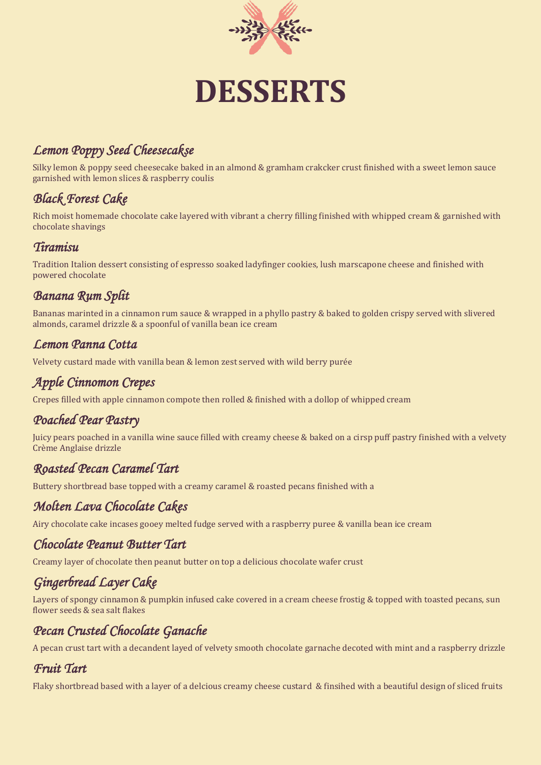

# **DESSERTS**

## *Lemon Poppy Seed Cheesecakse*

Silky lemon & poppy seed cheesecake baked in an almond & gramham crakcker crust finished with a sweet lemon sauce garnished with lemon slices & raspberry coulis

## *Black Forest Cake*

Rich moist homemade chocolate cake layered with vibrant a cherry filling finished with whipped cream & garnished with chocolate shavings

#### *Tiramisu*

Tradition Italion dessert consisting of espresso soaked ladyfinger cookies, lush marscapone cheese and finished with powered chocolate

### *Banana Rum Split*

Bananas marinted in a cinnamon rum sauce & wrapped in a phyllo pastry & baked to golden crispy served with slivered almonds, caramel drizzle & a spoonful of vanilla bean ice cream

#### *Lemon Panna Cotta*

Velvety custard made with vanilla bean & lemon zest served with wild berry purée

## *Apple Cinnomon Crepes*

Crepes filled with apple cinnamon compote then rolled & finished with a dollop of whipped cream

#### *Poached Pear Pastry*

Juicy pears poached in a vanilla wine sauce filled with creamy cheese & baked on a cirsp puff pastry finished with a velvety Crème Anglaise drizzle

#### *Roasted Pecan Caramel Tart*

Buttery shortbread base topped with a creamy caramel & roasted pecans finished with a

#### *Molten Lava Chocolate Cakes*

Airy chocolate cake incases gooey melted fudge served with a raspberry puree & vanilla bean ice cream

#### *Chocolate Peanut Butter Tart*

Creamy layer of chocolate then peanut butter on top a delicious chocolate wafer crust

## *Gingerbread Layer Cake*

Layers of spongy cinnamon & pumpkin infused cake covered in a cream cheese frostig & topped with toasted pecans, sun flower seeds & sea salt flakes

## *Pecan Crusted Chocolate Ganache*

A pecan crust tart with a decandent layed of velvety smooth chocolate garnache decoted with mint and a raspberry drizzle

#### *Fruit Tart*

Flaky shortbread based with a layer of a delcious creamy cheese custard & finsihed with a beautiful design of sliced fruits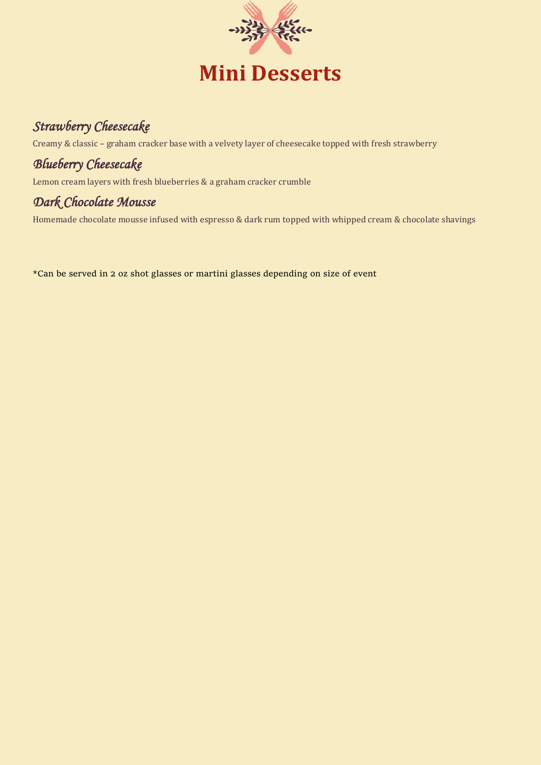

## *Strawberry Cheesecake*

Creamy & classic – graham cracker base with a velvety layer of cheesecake topped with fresh strawberry

## *Blueberry Cheesecake*

Lemon cream layers with fresh blueberries & a graham cracker crumble

### *Dark Chocolate Mousse*

Homemade chocolate mousse infused with espresso & dark rum topped with whipped cream & chocolate shavings

\*Can be served in 2 oz shot glasses or martini glasses depending on size of event